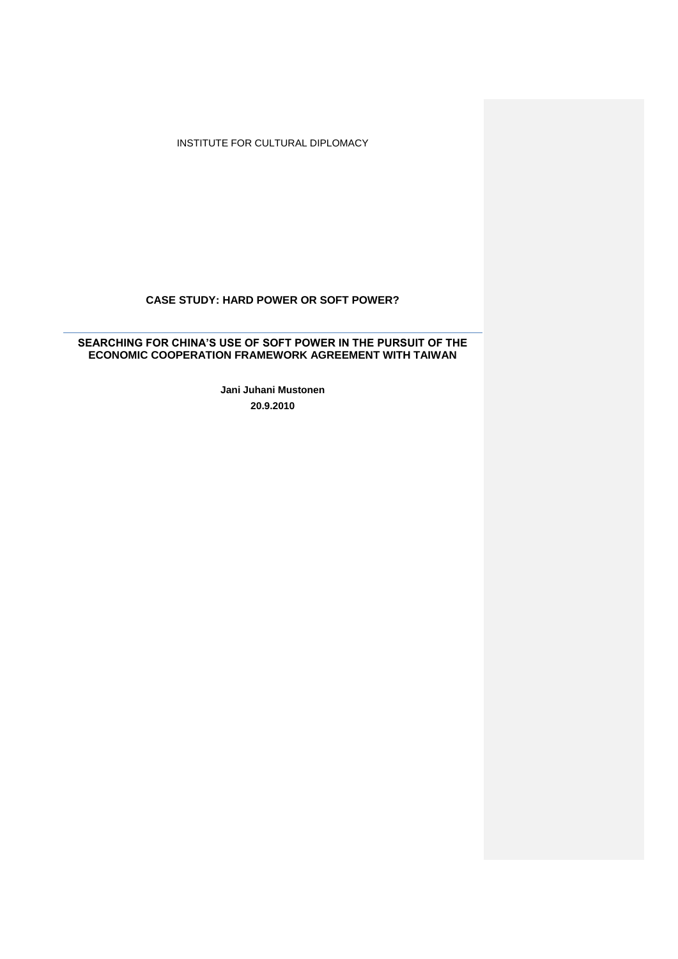INSTITUTE FOR CULTURAL DIPLOMACY

# **CASE STUDY: HARD POWER OR SOFT POWER?**

# **SEARCHING FOR CHINA'S USE OF SOFT POWER IN THE PURSUIT OF THE ECONOMIC COOPERATION FRAMEWORK AGREEMENT WITH TAIWAN**

**Jani Juhani Mustonen 20.9.2010**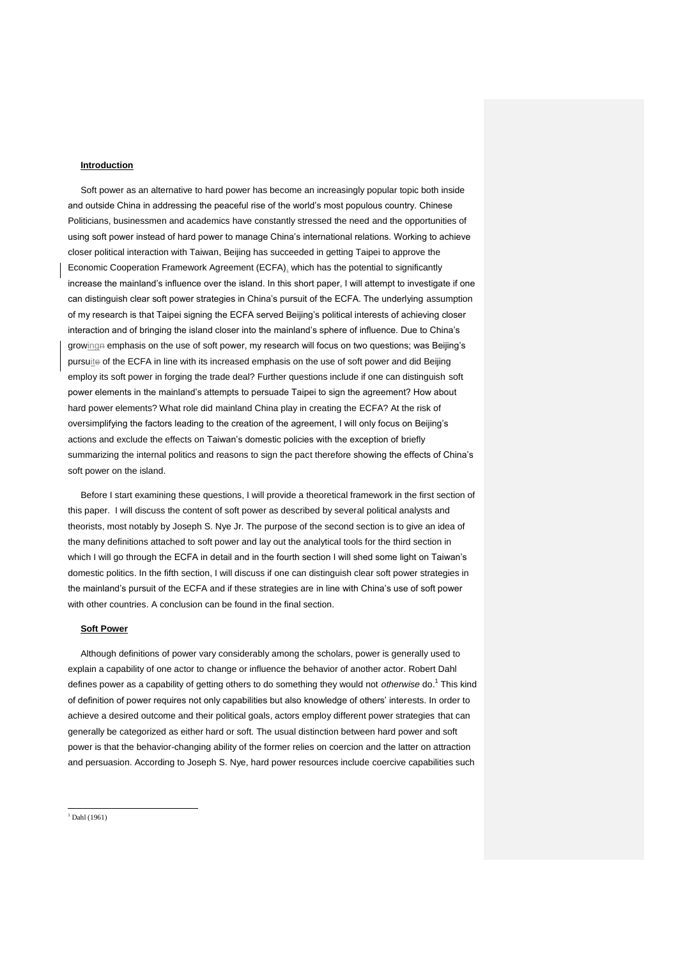### **Introduction**

Soft power as an alternative to hard power has become an increasingly popular topic both inside and outside China in addressing the peaceful rise of the world"s most populous country. Chinese Politicians, businessmen and academics have constantly stressed the need and the opportunities of using soft power instead of hard power to manage China's international relations. Working to achieve closer political interaction with Taiwan, Beijing has succeeded in getting Taipei to approve the Economic Cooperation Framework Agreement (ECFA), which has the potential to significantly increase the mainland"s influence over the island. In this short paper, I will attempt to investigate if one can distinguish clear soft power strategies in China"s pursuit of the ECFA. The underlying assumption of my research is that Taipei signing the ECFA served Beijing"s political interests of achieving closer interaction and of bringing the island closer into the mainland's sphere of influence. Due to China's growingn emphasis on the use of soft power, my research will focus on two questions; was Beijing's pursuite of the ECFA in line with its increased emphasis on the use of soft power and did Beijing employ its soft power in forging the trade deal? Further questions include if one can distinguish soft power elements in the mainland"s attempts to persuade Taipei to sign the agreement? How about hard power elements? What role did mainland China play in creating the ECFA? At the risk of oversimplifying the factors leading to the creation of the agreement, I will only focus on Beijing"s actions and exclude the effects on Taiwan"s domestic policies with the exception of briefly summarizing the internal politics and reasons to sign the pact therefore showing the effects of China's soft power on the island.

Before I start examining these questions, I will provide a theoretical framework in the first section of this paper. I will discuss the content of soft power as described by several political analysts and theorists, most notably by Joseph S. Nye Jr. The purpose of the second section is to give an idea of the many definitions attached to soft power and lay out the analytical tools for the third section in which I will go through the ECFA in detail and in the fourth section I will shed some light on Taiwan's domestic politics. In the fifth section, I will discuss if one can distinguish clear soft power strategies in the mainland"s pursuit of the ECFA and if these strategies are in line with China"s use of soft power with other countries. A conclusion can be found in the final section.

## **Soft Power**

Although definitions of power vary considerably among the scholars, power is generally used to explain a capability of one actor to change or influence the behavior of another actor. Robert Dahl defines power as a capability of getting others to do something they would not *otherwise* do.<sup>1</sup> This kind of definition of power requires not only capabilities but also knowledge of others" interests. In order to achieve a desired outcome and their political goals, actors employ different power strategies that can generally be categorized as either hard or soft. The usual distinction between hard power and soft power is that the behavior-changing ability of the former relies on coercion and the latter on attraction and persuasion. According to Joseph S. Nye, hard power resources include coercive capabilities such

 $\frac{1}{1}$ Dahl (1961)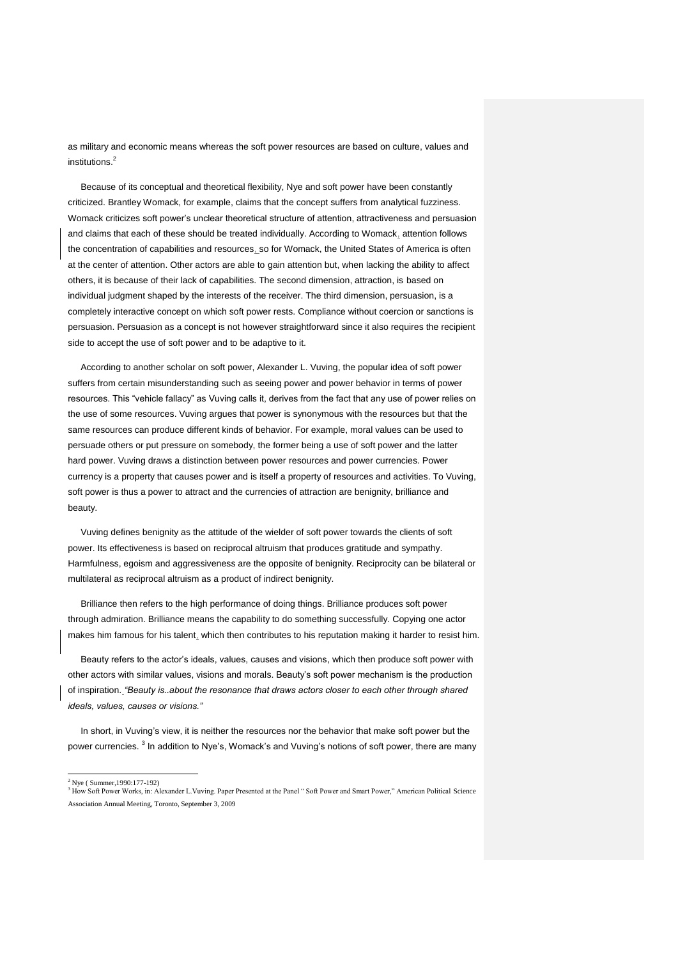as military and economic means whereas the soft power resources are based on culture, values and institutions.<sup>2</sup>

Because of its conceptual and theoretical flexibility, Nye and soft power have been constantly criticized. Brantley Womack, for example, claims that the concept suffers from analytical fuzziness. Womack criticizes soft power"s unclear theoretical structure of attention, attractiveness and persuasion and claims that each of these should be treated individually. According to Womack, attention follows the concentration of capabilities and resources, so for Womack, the United States of America is often at the center of attention. Other actors are able to gain attention but, when lacking the ability to affect others, it is because of their lack of capabilities. The second dimension, attraction, is based on individual judgment shaped by the interests of the receiver. The third dimension, persuasion, is a completely interactive concept on which soft power rests. Compliance without coercion or sanctions is persuasion. Persuasion as a concept is not however straightforward since it also requires the recipient side to accept the use of soft power and to be adaptive to it.

According to another scholar on soft power, Alexander L. Vuving, the popular idea of soft power suffers from certain misunderstanding such as seeing power and power behavior in terms of power resources. This "vehicle fallacy" as Vuving calls it, derives from the fact that any use of power relies on the use of some resources. Vuving argues that power is synonymous with the resources but that the same resources can produce different kinds of behavior. For example, moral values can be used to persuade others or put pressure on somebody, the former being a use of soft power and the latter hard power. Vuving draws a distinction between power resources and power currencies. Power currency is a property that causes power and is itself a property of resources and activities. To Vuving, soft power is thus a power to attract and the currencies of attraction are benignity, brilliance and beauty.

Vuving defines benignity as the attitude of the wielder of soft power towards the clients of soft power. Its effectiveness is based on reciprocal altruism that produces gratitude and sympathy. Harmfulness, egoism and aggressiveness are the opposite of benignity. Reciprocity can be bilateral or multilateral as reciprocal altruism as a product of indirect benignity.

Brilliance then refers to the high performance of doing things. Brilliance produces soft power through admiration. Brilliance means the capability to do something successfully. Copying one actor makes him famous for his talent, which then contributes to his reputation making it harder to resist him.

Beauty refers to the actor"s ideals, values, causes and visions, which then produce soft power with other actors with similar values, visions and morals. Beauty"s soft power mechanism is the production of inspiration. *"Beauty is..about the resonance that draws actors closer to each other through shared ideals, values, causes or visions."*

In short, in Vuving's view, it is neither the resources nor the behavior that make soft power but the power currencies. <sup>3</sup> In addition to Nye's, Womack's and Vuving's notions of soft power, there are many

-

<sup>2</sup> Nye ( Summer,1990:177-192)

<sup>&</sup>lt;sup>3</sup> How Soft Power Works, in: Alexander L. Vuving. Paper Presented at the Panel "Soft Power and Smart Power," American Political Science Association Annual Meeting, Toronto, September 3, 2009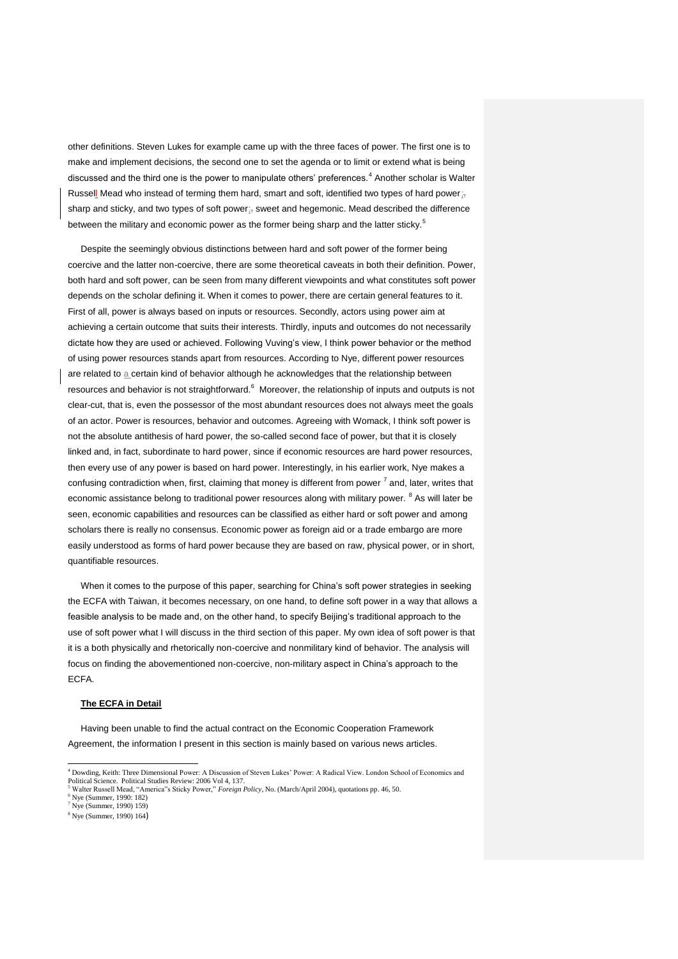other definitions. Steven Lukes for example came up with the three faces of power. The first one is to make and implement decisions, the second one to set the agenda or to limit or extend what is being discussed and the third one is the power to manipulate others' preferences.<sup>4</sup> Another scholar is Walter Russell Mead who instead of terming them hard, smart and soft, identified two types of hard power $\overline{s}$ sharp and sticky, and two types of soft power;<sub>7</sub> sweet and hegemonic. Mead described the difference between the military and economic power as the former being sharp and the latter sticky.<sup>5</sup>

Despite the seemingly obvious distinctions between hard and soft power of the former being coercive and the latter non-coercive, there are some theoretical caveats in both their definition. Power, both hard and soft power, can be seen from many different viewpoints and what constitutes soft power depends on the scholar defining it. When it comes to power, there are certain general features to it. First of all, power is always based on inputs or resources. Secondly, actors using power aim at achieving a certain outcome that suits their interests. Thirdly, inputs and outcomes do not necessarily dictate how they are used or achieved. Following Vuving's view, I think power behavior or the method of using power resources stands apart from resources. According to Nye, different power resources are related to a certain kind of behavior although he acknowledges that the relationship between resources and behavior is not straightforward. <sup>6</sup> Moreover, the relationship of inputs and outputs is not clear-cut, that is, even the possessor of the most abundant resources does not always meet the goals of an actor. Power is resources, behavior and outcomes. Agreeing with Womack, I think soft power is not the absolute antithesis of hard power, the so-called second face of power, but that it is closely linked and, in fact, subordinate to hard power, since if economic resources are hard power resources, then every use of any power is based on hard power. Interestingly, in his earlier work, Nye makes a confusing contradiction when, first, claiming that money is different from power <sup>7</sup> and, later, writes that economic assistance belong to traditional power resources along with military power. <sup>8</sup> As will later be seen, economic capabilities and resources can be classified as either hard or soft power and among scholars there is really no consensus. Economic power as foreign aid or a trade embargo are more easily understood as forms of hard power because they are based on raw, physical power, or in short, quantifiable resources.

When it comes to the purpose of this paper, searching for China's soft power strategies in seeking the ECFA with Taiwan, it becomes necessary, on one hand, to define soft power in a way that allows a feasible analysis to be made and, on the other hand, to specify Beijing's traditional approach to the use of soft power what I will discuss in the third section of this paper. My own idea of soft power is that it is a both physically and rhetorically non-coercive and nonmilitary kind of behavior. The analysis will focus on finding the abovementioned non-coercive, non-military aspect in China"s approach to the ECFA.

## **The ECFA in Detail**

Having been unable to find the actual contract on the Economic Cooperation Framework Agreement, the information I present in this section is mainly based on various news articles.

-

<sup>4</sup> Dowding, Keith: Three Dimensional Power: A Discussion of Steven Lukes' Power: A Radical View. London School of Economics and Political Science. Political Studies Review: 2006 Vol 4, 137.

<sup>5</sup> Walter Russell Mead, "America"s Sticky Power," *Foreign Policy*, No. (March/April 2004), quotations pp. 46, 50.

<sup>6</sup> Nye (Summer, 1990: 182)  $7^7$  Nye (Summer, 1990) 159)

<sup>8</sup> Nye (Summer, 1990) 164)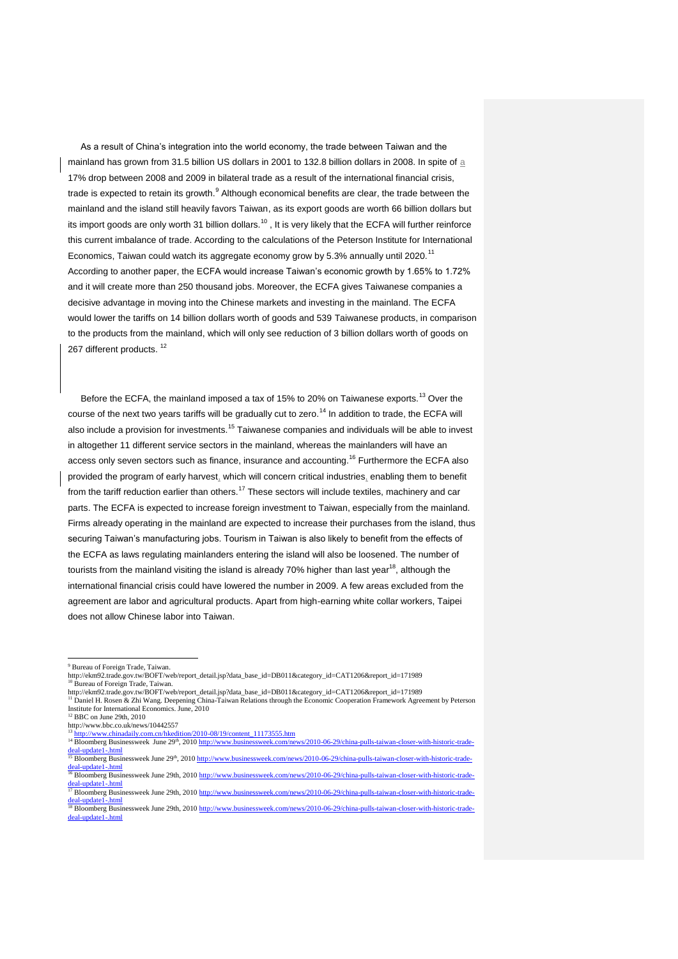As a result of China"s integration into the world economy, the trade between Taiwan and the mainland has grown from 31.5 billion US dollars in 2001 to 132.8 billion dollars in 2008. In spite of a 17% drop between 2008 and 2009 in bilateral trade as a result of the international financial crisis, trade is expected to retain its growth.<sup>9</sup> Although economical benefits are clear, the trade between the mainland and the island still heavily favors Taiwan, as its export goods are worth 66 billion dollars but its import goods are only worth 31 billion dollars.<sup>10</sup>, It is very likely that the ECFA will further reinforce this current imbalance of trade. According to the calculations of the Peterson Institute for International Economics, Taiwan could watch its aggregate economy grow by 5.3% annually until 2020.<sup>11</sup> According to another paper, the ECFA would increase Taiwan"s economic growth by 1.65% to 1.72% and it will create more than 250 thousand jobs. Moreover, the ECFA gives Taiwanese companies a decisive advantage in moving into the Chinese markets and investing in the mainland. The ECFA would lower the tariffs on 14 billion dollars worth of goods and 539 Taiwanese products, in comparison to the products from the mainland, which will only see reduction of 3 billion dollars worth of goods on 267 different products.<sup>12</sup>

Before the ECFA, the mainland imposed a tax of 15% to 20% on Taiwanese exports.<sup>13</sup> Over the course of the next two years tariffs will be gradually cut to zero.<sup>14</sup> In addition to trade, the ECFA will also include a provision for investments.<sup>15</sup> Taiwanese companies and individuals will be able to invest in altogether 11 different service sectors in the mainland, whereas the mainlanders will have an access only seven sectors such as finance, insurance and accounting.<sup>16</sup> Furthermore the ECFA also provided the program of early harvest, which will concern critical industries, enabling them to benefit from the tariff reduction earlier than others.<sup>17</sup> These sectors will include textiles, machinery and car parts. The ECFA is expected to increase foreign investment to Taiwan, especially from the mainland. Firms already operating in the mainland are expected to increase their purchases from the island, thus securing Taiwan's manufacturing jobs. Tourism in Taiwan is also likely to benefit from the effects of the ECFA as laws regulating mainlanders entering the island will also be loosened. The number of tourists from the mainland visiting the island is already 70% higher than last year<sup>18</sup>, although the international financial crisis could have lowered the number in 2009. A few areas excluded from the agreement are labor and agricultural products. Apart from high-earning white collar workers, Taipei does not allow Chinese labor into Taiwan.

1

<sup>9</sup> Bureau of Foreign Trade, Taiwan.

http://ekm92.trade.gov.tw/BOFT/web/report\_detail.jsp?data\_base\_id=DB011&category\_id=CAT1206&report\_id=171989 Bureau of Foreign Trade, Taiwan.

http://ekm92.trade.gov.tw/BOFT/web/report\_detail.jsp?data\_base\_id=DB011&category\_id=CAT1206&report\_id=171989<br><sup>11</sup> Daniel H. Rosen & Zhi Wang. Deepening China-Taiwan Relations through the Economic Cooperation Framework Agre Institute for International Economics. June, 2010  $<sup>2</sup>$  BBC on June 29th, 2010</sup>

http://www.bbc.co.uk/news/10442557

<sup>2010-08/19/</sup>content\_11173555.htm

<sup>&</sup>lt;sup>14</sup> Bloomberg Businessweek June 29<sup>th</sup>, 201[0 http://www.businessweek.com/news/2010-06-29/china-pulls-taiwan-closer-with-historic-trade](http://www.businessweek.com/news/2010-06-29/china-pulls-taiwan-closer-with-historic-trade-deal-update1-.html)[deal-update1-.html](http://www.businessweek.com/news/2010-06-29/china-pulls-taiwan-closer-with-historic-trade-deal-update1-.html)<br><sup>15</sup> Bloomberg Businessweek June 29<sup>th</sup>, 2010 <u>http://www.businessweek.com/news/2010-06-29/china-pulls-taiwan-closer-with-historic-trade-<br><u>deal-update1-.html</u></u>

<sup>16</sup> Bloomberg Businessweek June 29th, 201[0 http://www.businessweek.com/news/2010-06-29/china-pulls-taiwan-closer-with-historic-trade-](http://www.businessweek.com/news/2010-06-29/china-pulls-taiwan-closer-with-historic-trade-deal-update1-.html)

[deal-update1-.html](http://www.businessweek.com/news/2010-06-29/china-pulls-taiwan-closer-with-historic-trade-deal-update1-.html)<br><sup>17</sup> Bloomberg Businessweek June 29th, 2010 <u>http://www.businessweek.com/news/2010-06-29/china-pulls-taiwan-closer-with-historic-trade-</u>

[deal-update1-.html](http://www.businessweek.com/news/2010-06-29/china-pulls-taiwan-closer-with-historic-trade-deal-update1-.html)<br><sup>18</sup> Bloomberg Busine <sup>18</sup> Bloomberg Businessweek.com/news/2010-06-29/china-pulls-taiwan-closer-with-historic-trade[deal-update1-.html](http://www.businessweek.com/news/2010-06-29/china-pulls-taiwan-closer-with-historic-trade-deal-update1-.html)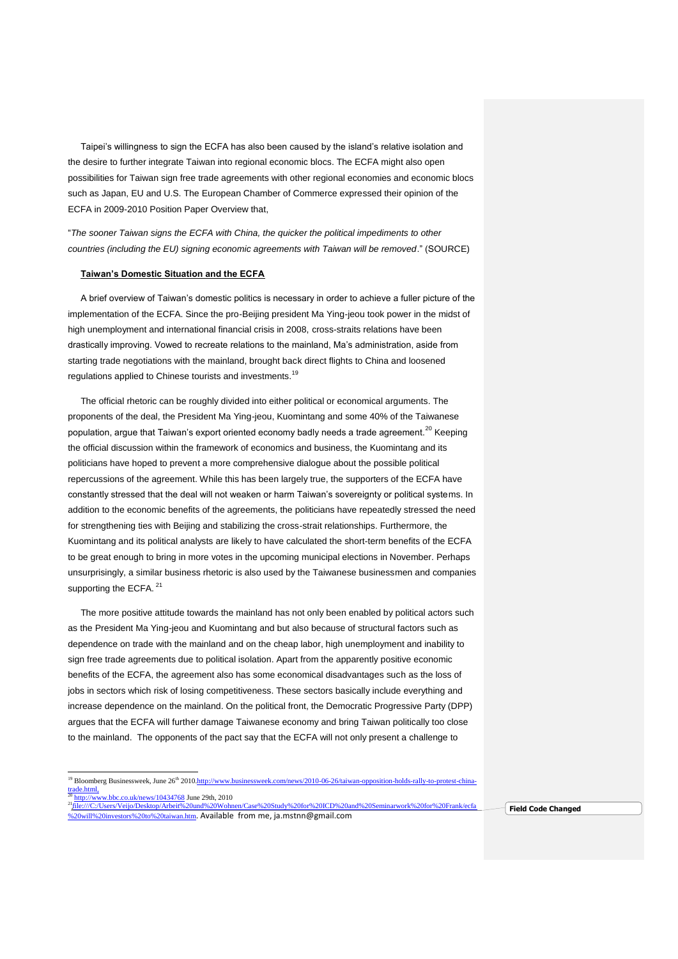Taipei"s willingness to sign the ECFA has also been caused by the island"s relative isolation and the desire to further integrate Taiwan into regional economic blocs. The ECFA might also open possibilities for Taiwan sign free trade agreements with other regional economies and economic blocs such as Japan, EU and U.S. The European Chamber of Commerce expressed their opinion of the ECFA in 2009-2010 Position Paper Overview that,

"*The sooner Taiwan signs the ECFA with China, the quicker the political impediments to other countries (including the EU) signing economic agreements with Taiwan will be removed*." (SOURCE)

## **Taiwan's Domestic Situation and the ECFA**

A brief overview of Taiwan"s domestic politics is necessary in order to achieve a fuller picture of the implementation of the ECFA. Since the pro-Beijing president Ma Ying-jeou took power in the midst of high unemployment and international financial crisis in 2008, cross-straits relations have been drastically improving. Vowed to recreate relations to the mainland, Ma"s administration, aside from starting trade negotiations with the mainland, brought back direct flights to China and loosened regulations applied to Chinese tourists and investments.<sup>19</sup>

The official rhetoric can be roughly divided into either political or economical arguments. The proponents of the deal, the President Ma Ying-jeou, Kuomintang and some 40% of the Taiwanese population, argue that Taiwan's export oriented economy badly needs a trade agreement.<sup>20</sup> Keeping the official discussion within the framework of economics and business, the Kuomintang and its politicians have hoped to prevent a more comprehensive dialogue about the possible political repercussions of the agreement. While this has been largely true, the supporters of the ECFA have constantly stressed that the deal will not weaken or harm Taiwan"s sovereignty or political systems. In addition to the economic benefits of the agreements, the politicians have repeatedly stressed the need for strengthening ties with Beijing and stabilizing the cross-strait relationships. Furthermore, the Kuomintang and its political analysts are likely to have calculated the short-term benefits of the ECFA to be great enough to bring in more votes in the upcoming municipal elections in November. Perhaps unsurprisingly, a similar business rhetoric is also used by the Taiwanese businessmen and companies supporting the ECFA.<sup>21</sup>

The more positive attitude towards the mainland has not only been enabled by political actors such as the President Ma Ying-jeou and Kuomintang and but also because of structural factors such as dependence on trade with the mainland and on the cheap labor, high unemployment and inability to sign free trade agreements due to political isolation. Apart from the apparently positive economic benefits of the ECFA, the agreement also has some economical disadvantages such as the loss of jobs in sectors which risk of losing competitiveness. These sectors basically include everything and increase dependence on the mainland. On the political front, the Democratic Progressive Party (DPP) argues that the ECFA will further damage Taiwanese economy and bring Taiwan politically too close to the mainland. The opponents of the pact say that the ECFA will not only present a challenge to

**Field Code Changed**

<sup>19</sup> Bloomberg Businessweek, June 26<sup>th</sup> 2010.<u>http://www.businessweek.com/news/2010-06-26/taiwan-opposition-holds-rally-to-protest-china-<br><sup>19</sup> Bloomberg Businessweek, June 26<sup>th</sup> 2010.<u>http://www.businessweek.com/news/2010-</u></u> [trade.html,](http://www.businessweek.com/news/2010-06-26/taiwan-opposition-holds-rally-to-protest-china-trade.html,) <http://www.bbc.co.uk/news/10434768> June 29th, 2010

<sup>21</sup>[file:///C:/Users/Veijo/Desktop/Arbeit%20und%20Wohnen/Case%20Study%20for%20ICD%20and%20Seminarwork%20for%20Frank/ecfa](../../../Veijo/Desktop/Arbeit%20und%20Wohnen/Case%20Study%20for%20ICD%20and%20Seminarwork%20for%20Frank/ecfa%20will%20investors%20to%20taiwan.htm) [%20will%20investors%20to%20taiwan.htm](../../../Veijo/Desktop/Arbeit%20und%20Wohnen/Case%20Study%20for%20ICD%20and%20Seminarwork%20for%20Frank/ecfa%20will%20investors%20to%20taiwan.htm). Available from me, ja.mstnn@gmail.com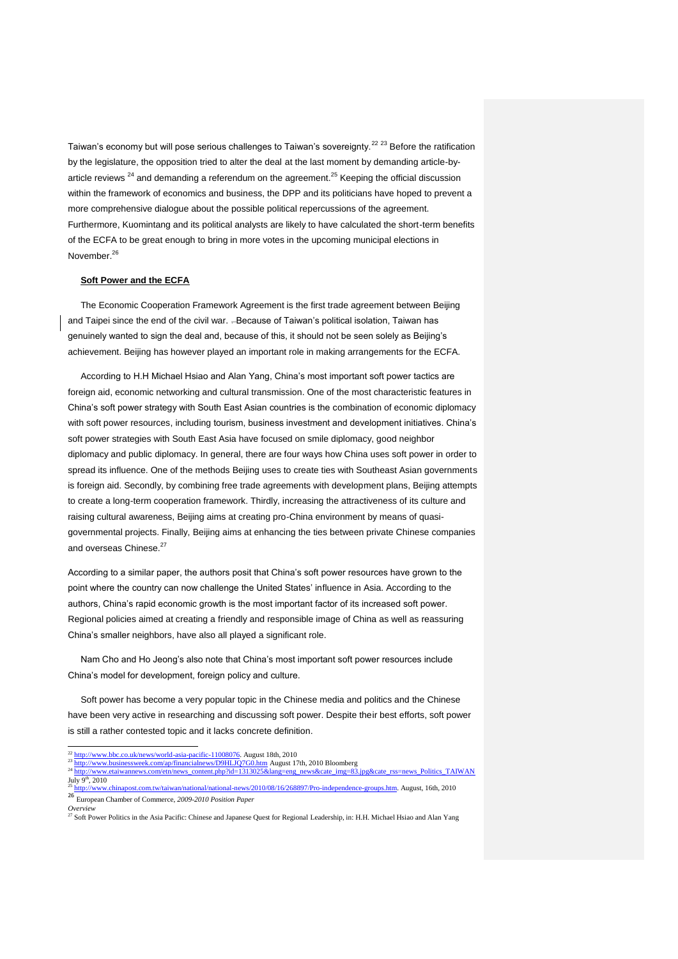Taiwan's economy but will pose serious challenges to Taiwan's sovereignty.<sup>22</sup> 23 Before the ratification by the legislature, the opposition tried to alter the deal at the last moment by demanding article-byarticle reviews  $^{24}$  and demanding a referendum on the agreement.<sup>25</sup> Keeping the official discussion within the framework of economics and business, the DPP and its politicians have hoped to prevent a more comprehensive dialogue about the possible political repercussions of the agreement. Furthermore, Kuomintang and its political analysts are likely to have calculated the short-term benefits of the ECFA to be great enough to bring in more votes in the upcoming municipal elections in November.<sup>26</sup>

### **Soft Power and the ECFA**

The Economic Cooperation Framework Agreement is the first trade agreement between Beijing and Taipei since the end of the civil war. - Because of Taiwan's political isolation, Taiwan has genuinely wanted to sign the deal and, because of this, it should not be seen solely as Beijing"s achievement. Beijing has however played an important role in making arrangements for the ECFA.

According to H.H Michael Hsiao and Alan Yang, China"s most important soft power tactics are foreign aid, economic networking and cultural transmission. One of the most characteristic features in China"s soft power strategy with South East Asian countries is the combination of economic diplomacy with soft power resources, including tourism, business investment and development initiatives. China's soft power strategies with South East Asia have focused on smile diplomacy, good neighbor diplomacy and public diplomacy. In general, there are four ways how China uses soft power in order to spread its influence. One of the methods Beijing uses to create ties with Southeast Asian governments is foreign aid. Secondly, by combining free trade agreements with development plans, Beijing attempts to create a long-term cooperation framework. Thirdly, increasing the attractiveness of its culture and raising cultural awareness, Beijing aims at creating pro-China environment by means of quasigovernmental projects. Finally, Beijing aims at enhancing the ties between private Chinese companies and overseas Chinese.<sup>27</sup>

According to a similar paper, the authors posit that China"s soft power resources have grown to the point where the country can now challenge the United States" influence in Asia. According to the authors, China's rapid economic growth is the most important factor of its increased soft power. Regional policies aimed at creating a friendly and responsible image of China as well as reassuring China"s smaller neighbors, have also all played a significant role.

Nam Cho and Ho Jeong"s also note that China"s most important soft power resources include China"s model for development, foreign policy and culture.

Soft power has become a very popular topic in the Chinese media and politics and the Chinese have been very active in researching and discussing soft power. Despite their best efforts, soft power is still a rather contested topic and it lacks concrete definition.

 <sup>22</sup> [http://www.bbc.co.uk/news/world-asia-pacific-11008076.](http://www.bbc.co.uk/news/world-asia-pacific-11008076) August 18th, 2010

<http://www.businessweek.com/ap/financialnews/D9HLJQ7G0.htm> August 17th, 2010 Bloomberg  $\frac{1}{2}$  http://www.etail.com/etail/news.com/etail/news/news/news/politics\_TAIWAN

July  $9<sup>th</sup>$ , 2010

<sup>25</sup> [http://www.chinapost.com.tw/taiwan/national/national-news/2010/08/16/268897/Pro-independence-groups.htm.](http://www.chinapost.com.tw/taiwan/national/national-news/2010/08/16/268897/Pro-independence-groups.htm) August, 16th, 2010 <sup>26</sup> European Chamber of Commerce, *2009-2010 Position Paper*

*Overview*

<sup>27</sup> Soft Power Politics in the Asia Pacific: Chinese and Japanese Quest for Regional Leadership, in: H.H. Michael Hsiao and Alan Yang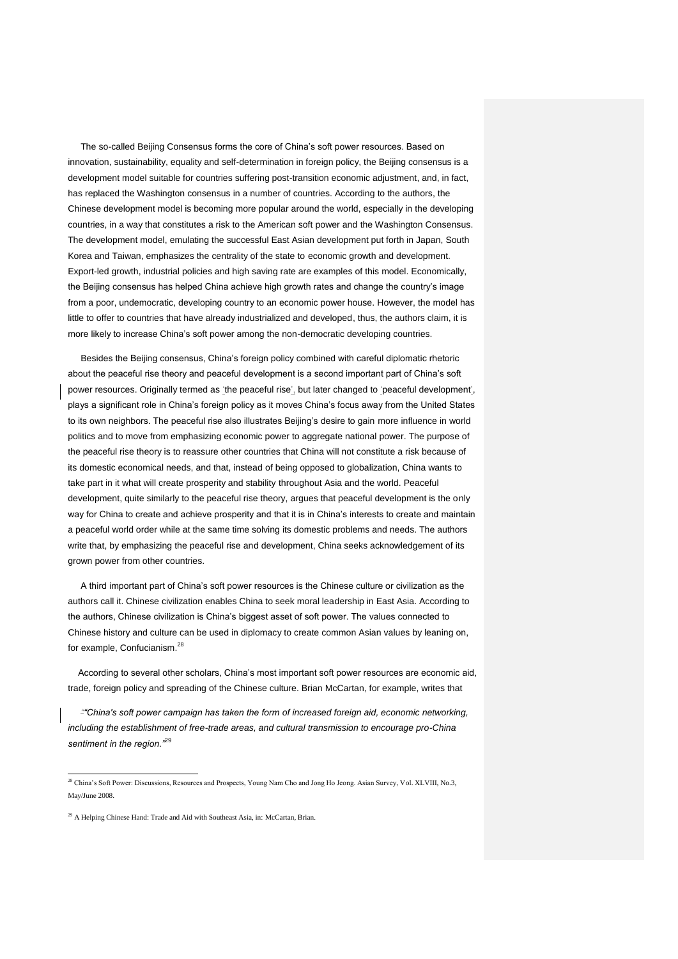The so-called Beijing Consensus forms the core of China"s soft power resources. Based on innovation, sustainability, equality and self-determination in foreign policy, the Beijing consensus is a development model suitable for countries suffering post-transition economic adjustment, and, in fact, has replaced the Washington consensus in a number of countries. According to the authors, the Chinese development model is becoming more popular around the world, especially in the developing countries, in a way that constitutes a risk to the American soft power and the Washington Consensus. The development model, emulating the successful East Asian development put forth in Japan, South Korea and Taiwan, emphasizes the centrality of the state to economic growth and development. Export-led growth, industrial policies and high saving rate are examples of this model. Economically, the Beijing consensus has helped China achieve high growth rates and change the country"s image from a poor, undemocratic, developing country to an economic power house. However, the model has little to offer to countries that have already industrialized and developed, thus, the authors claim, it is more likely to increase China"s soft power among the non-democratic developing countries.

Besides the Beijing consensus, China"s foreign policy combined with careful diplomatic rhetoric about the peaceful rise theory and peaceful development is a second important part of China"s soft power resources. Originally termed as 'the peaceful rise', but later changed to 'peaceful development', plays a significant role in China's foreign policy as it moves China's focus away from the United States to its own neighbors. The peaceful rise also illustrates Beijing"s desire to gain more influence in world politics and to move from emphasizing economic power to aggregate national power. The purpose of the peaceful rise theory is to reassure other countries that China will not constitute a risk because of its domestic economical needs, and that, instead of being opposed to globalization, China wants to take part in it what will create prosperity and stability throughout Asia and the world. Peaceful development, quite similarly to the peaceful rise theory, argues that peaceful development is the only way for China to create and achieve prosperity and that it is in China's interests to create and maintain a peaceful world order while at the same time solving its domestic problems and needs. The authors write that, by emphasizing the peaceful rise and development, China seeks acknowledgement of its grown power from other countries.

A third important part of China"s soft power resources is the Chinese culture or civilization as the authors call it. Chinese civilization enables China to seek moral leadership in East Asia. According to the authors, Chinese civilization is China"s biggest asset of soft power. The values connected to Chinese history and culture can be used in diplomacy to create common Asian values by leaning on, for example, Confucianism.<sup>28</sup>

According to several other scholars, China"s most important soft power resources are economic aid, trade, foreign policy and spreading of the Chinese culture. Brian McCartan, for example, writes that

*""China's soft power campaign has taken the form of increased foreign aid, economic networking, including the establishment of free-trade areas, and cultural transmission to encourage pro-China sentiment in the region."*<sup>29</sup>

 <sup>28</sup> China's Soft Power: Discussions, Resources and Prospects, Young Nam Cho and Jong Ho Jeong. Asian Survey, Vol. XLVIII, No.3, May/June 2008.

<sup>&</sup>lt;sup>29</sup> A Helping Chinese Hand: Trade and Aid with Southeast Asia, in: McCartan, Brian.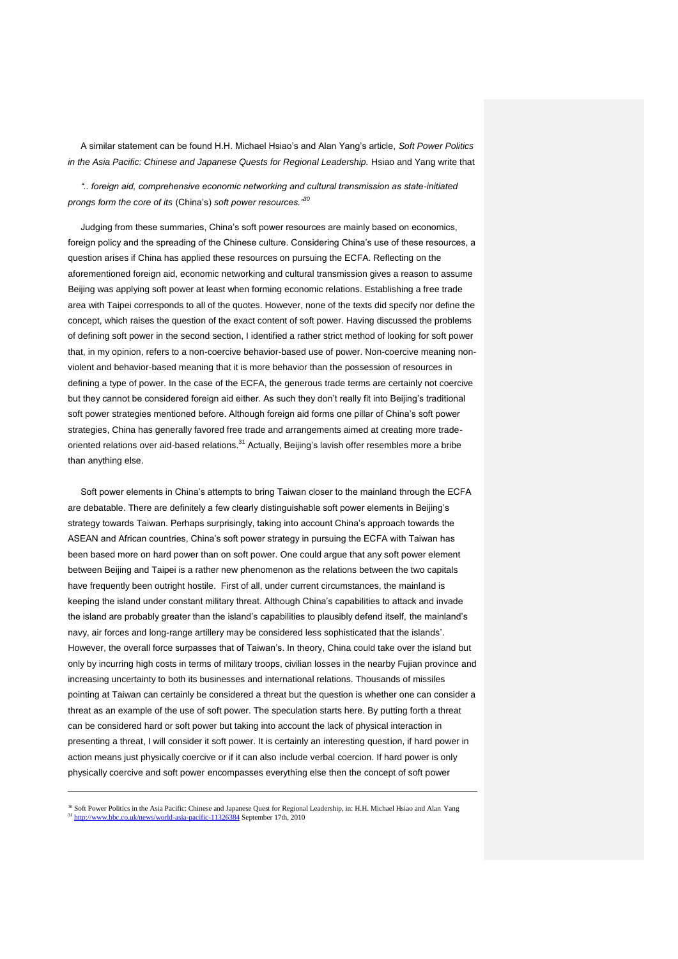A similar statement can be found H.H. Michael Hsiao"s and Alan Yang"s article, *Soft Power Politics in the Asia Pacific: Chinese and Japanese Quests for Regional Leadership.* Hsiao and Yang write that

*".. foreign aid, comprehensive economic networking and cultural transmission as state-initiated prongs form the core of its* (China"s) *soft power resources."<sup>30</sup>*

Judging from these summaries, China"s soft power resources are mainly based on economics, foreign policy and the spreading of the Chinese culture. Considering China's use of these resources, a question arises if China has applied these resources on pursuing the ECFA. Reflecting on the aforementioned foreign aid, economic networking and cultural transmission gives a reason to assume Beijing was applying soft power at least when forming economic relations. Establishing a free trade area with Taipei corresponds to all of the quotes. However, none of the texts did specify nor define the concept, which raises the question of the exact content of soft power. Having discussed the problems of defining soft power in the second section, I identified a rather strict method of looking for soft power that, in my opinion, refers to a non-coercive behavior-based use of power. Non-coercive meaning nonviolent and behavior-based meaning that it is more behavior than the possession of resources in defining a type of power. In the case of the ECFA, the generous trade terms are certainly not coercive but they cannot be considered foreign aid either. As such they don"t really fit into Beijing"s traditional soft power strategies mentioned before. Although foreign aid forms one pillar of China"s soft power strategies, China has generally favored free trade and arrangements aimed at creating more tradeoriented relations over aid-based relations.<sup>31</sup> Actually, Beijing's lavish offer resembles more a bribe than anything else.

Soft power elements in China's attempts to bring Taiwan closer to the mainland through the ECFA are debatable. There are definitely a few clearly distinguishable soft power elements in Beijing"s strategy towards Taiwan. Perhaps surprisingly, taking into account China's approach towards the ASEAN and African countries, China"s soft power strategy in pursuing the ECFA with Taiwan has been based more on hard power than on soft power. One could argue that any soft power element between Beijing and Taipei is a rather new phenomenon as the relations between the two capitals have frequently been outright hostile. First of all, under current circumstances, the mainland is keeping the island under constant military threat. Although China's capabilities to attack and invade the island are probably greater than the island"s capabilities to plausibly defend itself, the mainland"s navy, air forces and long-range artillery may be considered less sophisticated that the islands". However, the overall force surpasses that of Taiwan"s. In theory, China could take over the island but only by incurring high costs in terms of military troops, civilian losses in the nearby Fujian province and increasing uncertainty to both its businesses and international relations. Thousands of missiles pointing at Taiwan can certainly be considered a threat but the question is whether one can consider a threat as an example of the use of soft power. The speculation starts here. By putting forth a threat can be considered hard or soft power but taking into account the lack of physical interaction in presenting a threat, I will consider it soft power. It is certainly an interesting question, if hard power in action means just physically coercive or if it can also include verbal coercion. If hard power is only physically coercive and soft power encompasses everything else then the concept of soft power

<sup>30</sup> Soft Power Politics in the Asia Pacific: Chinese and Japanese Quest for Regional Leadership, in: H.H. Michael Hsiao and Alan Yang  $\frac{1}{326384}$  September 17th, 2010

-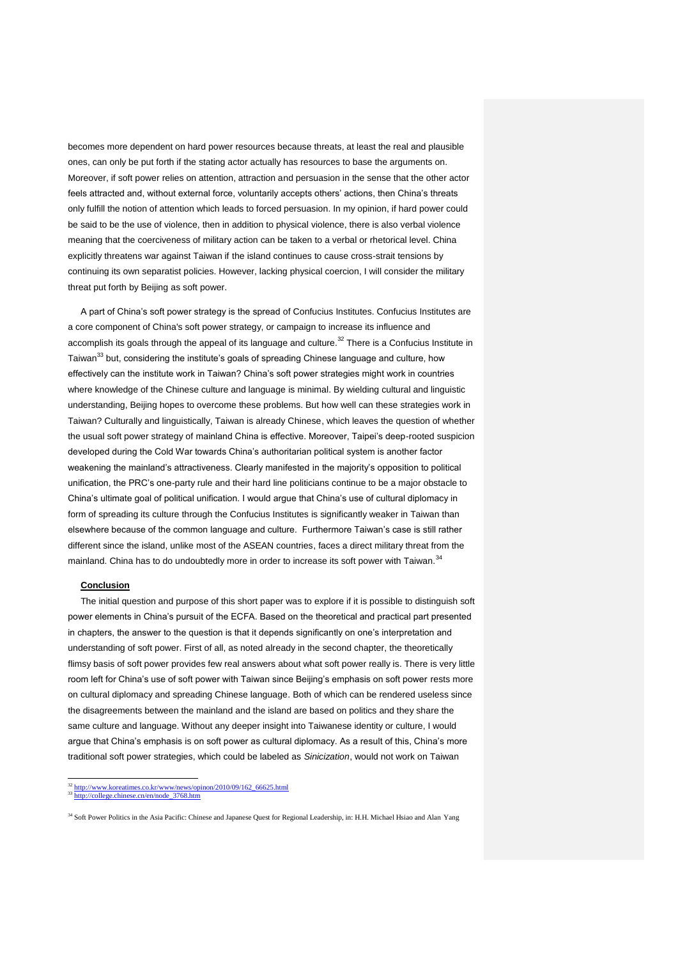becomes more dependent on hard power resources because threats, at least the real and plausible ones, can only be put forth if the stating actor actually has resources to base the arguments on. Moreover, if soft power relies on attention, attraction and persuasion in the sense that the other actor feels attracted and, without external force, voluntarily accepts others' actions, then China's threats only fulfill the notion of attention which leads to forced persuasion. In my opinion, if hard power could be said to be the use of violence, then in addition to physical violence, there is also verbal violence meaning that the coerciveness of military action can be taken to a verbal or rhetorical level. China explicitly threatens war against Taiwan if the island continues to cause cross-strait tensions by continuing its own separatist policies. However, lacking physical coercion, I will consider the military threat put forth by Beijing as soft power.

A part of China"s soft power strategy is the spread of Confucius Institutes. Confucius Institutes are a core component of China's soft power strategy, or campaign to increase its influence and accomplish its goals through the appeal of its language and culture. $32$  There is a Confucius Institute in Taiwan<sup>33</sup> but, considering the institute's goals of spreading Chinese language and culture, how effectively can the institute work in Taiwan? China"s soft power strategies might work in countries where knowledge of the Chinese culture and language is minimal. By wielding cultural and linguistic understanding, Beijing hopes to overcome these problems. But how well can these strategies work in Taiwan? Culturally and linguistically, Taiwan is already Chinese, which leaves the question of whether the usual soft power strategy of mainland China is effective. Moreover, Taipei"s deep-rooted suspicion developed during the Cold War towards China"s authoritarian political system is another factor weakening the mainland's attractiveness. Clearly manifested in the majority's opposition to political unification, the PRC"s one-party rule and their hard line politicians continue to be a major obstacle to China"s ultimate goal of political unification. I would argue that China"s use of cultural diplomacy in form of spreading its culture through the Confucius Institutes is significantly weaker in Taiwan than elsewhere because of the common language and culture. Furthermore Taiwan"s case is still rather different since the island, unlike most of the ASEAN countries, faces a direct military threat from the mainland. China has to do undoubtedly more in order to increase its soft power with Taiwan.<sup>34</sup>

## **Conclusion**

-

The initial question and purpose of this short paper was to explore if it is possible to distinguish soft power elements in China"s pursuit of the ECFA. Based on the theoretical and practical part presented in chapters, the answer to the question is that it depends significantly on one's interpretation and understanding of soft power. First of all, as noted already in the second chapter, the theoretically flimsy basis of soft power provides few real answers about what soft power really is. There is very little room left for China's use of soft power with Taiwan since Beijing's emphasis on soft power rests more on cultural diplomacy and spreading Chinese language. Both of which can be rendered useless since the disagreements between the mainland and the island are based on politics and they share the same culture and language. Without any deeper insight into Taiwanese identity or culture, I would argue that China's emphasis is on soft power as cultural diplomacy. As a result of this, China's more traditional soft power strategies, which could be labeled as *Sinicization*, would not work on Taiwan

<sup>32</sup> [http://www.koreatimes.co.kr/www/news/opinon/2010/09/162\\_66625.html](http://www.koreatimes.co.kr/www/news/opinon/2010/09/162_66625.html)  $\frac{32.0006}{2768.$ htm

<sup>&</sup>lt;sup>34</sup> Soft Power Politics in the Asia Pacific: Chinese and Japanese Quest for Regional Leadership, in: H.H. Michael Hsiao and Alan Yang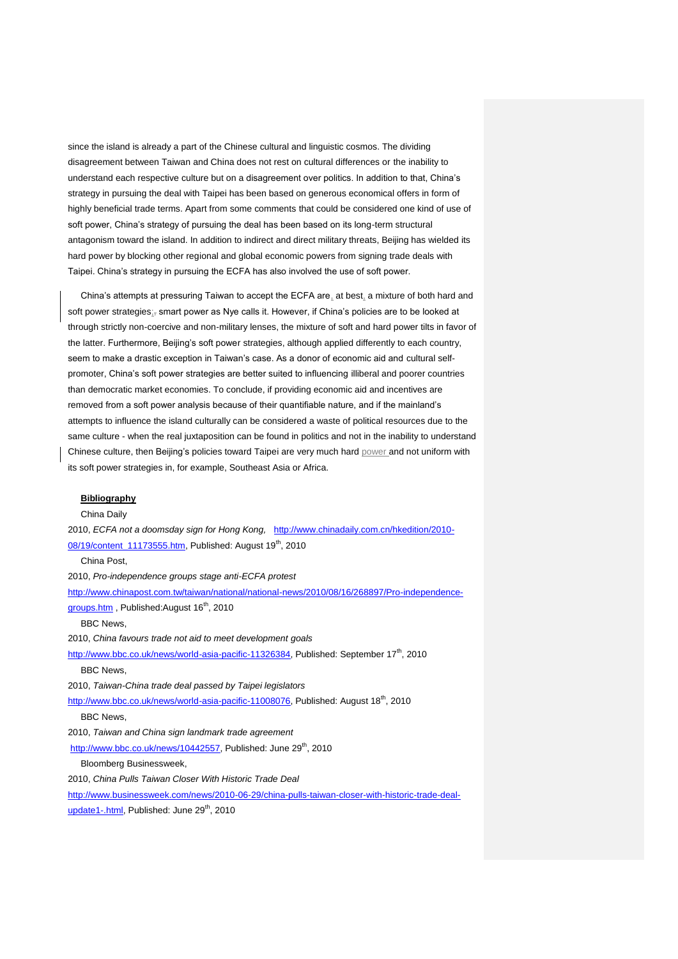since the island is already a part of the Chinese cultural and linguistic cosmos. The dividing disagreement between Taiwan and China does not rest on cultural differences or the inability to understand each respective culture but on a disagreement over politics. In addition to that, China"s strategy in pursuing the deal with Taipei has been based on generous economical offers in form of highly beneficial trade terms. Apart from some comments that could be considered one kind of use of soft power, China's strategy of pursuing the deal has been based on its long-term structural antagonism toward the island. In addition to indirect and direct military threats, Beijing has wielded its hard power by blocking other regional and global economic powers from signing trade deals with Taipei. China"s strategy in pursuing the ECFA has also involved the use of soft power.

China"s attempts at pressuring Taiwan to accept the ECFA are, at best, a mixture of both hard and soft power strategies; smart power as Nye calls it. However, if China's policies are to be looked at through strictly non-coercive and non-military lenses, the mixture of soft and hard power tilts in favor of the latter. Furthermore, Beijing"s soft power strategies, although applied differently to each country, seem to make a drastic exception in Taiwan"s case. As a donor of economic aid and cultural selfpromoter, China"s soft power strategies are better suited to influencing illiberal and poorer countries than democratic market economies. To conclude, if providing economic aid and incentives are removed from a soft power analysis because of their quantifiable nature, and if the mainland"s attempts to influence the island culturally can be considered a waste of political resources due to the same culture - when the real juxtaposition can be found in politics and not in the inability to understand Chinese culture, then Beijing's policies toward Taipei are very much hard power and not uniform with its soft power strategies in, for example, Southeast Asia or Africa.

#### **Bibliography**

China Daily

2010, *ECFA not a doomsday sign for Hong Kong,* [http://www.chinadaily.com.cn/hkedition/2010-](http://www.chinadaily.com.cn/hkedition/2010-08/19/content_11173555.htm) [08/19/content\\_11173555.htm,](http://www.chinadaily.com.cn/hkedition/2010-08/19/content_11173555.htm) Published: August 19<sup>th</sup>, 2010 China Post, 2010, *Pro-independence groups stage anti-ECFA protes[t](http://www.chinapost.com.tw/taiwan/national/national-news/2010/08/16/268897/Pro-independence-groups.htm)* [http://www.chinapost.com.tw/taiwan/national/national-news/2010/08/16/268897/Pro-independence](http://www.chinapost.com.tw/taiwan/national/national-news/2010/08/16/268897/Pro-independence-groups.htm)[groups.htm](http://www.chinapost.com.tw/taiwan/national/national-news/2010/08/16/268897/Pro-independence-groups.htm) , Published: August 16<sup>th</sup>, 2010 BBC News, 2010, *China favours trade not aid to meet development goals* [http://www.bbc.co.uk/news/world-asia-pacific-11326384,](http://www.bbc.co.uk/news/world-asia-pacific-11326384) Published: September 17<sup>th</sup>, 2010 BBC News, 2010, *Taiwan-China trade deal passed by Taipei legislators* [http://www.bbc.co.uk/news/world-asia-pacific-11008076,](http://www.bbc.co.uk/news/world-asia-pacific-11008076) Published: August 18<sup>th</sup>, 2010 BBC News, 2010, *Taiwan and China sign landmark trade agreement* [http://www.bbc.co.uk/news/10442557,](http://www.bbc.co.uk/news/10442557) Published: June 29<sup>th</sup>, 2010 Bloomberg Businessweek, 2010, *China Pulls Taiwan Closer With Historic Trade Deal* [http://www.businessweek.com/news/2010-06-29/china-pulls-taiwan-closer-with-historic-trade-deal](http://www.businessweek.com/news/2010-06-29/china-pulls-taiwan-closer-with-historic-trade-deal-update1-.html)[update1-.html,](http://www.businessweek.com/news/2010-06-29/china-pulls-taiwan-closer-with-historic-trade-deal-update1-.html) Published: June 29<sup>th</sup>, 2010